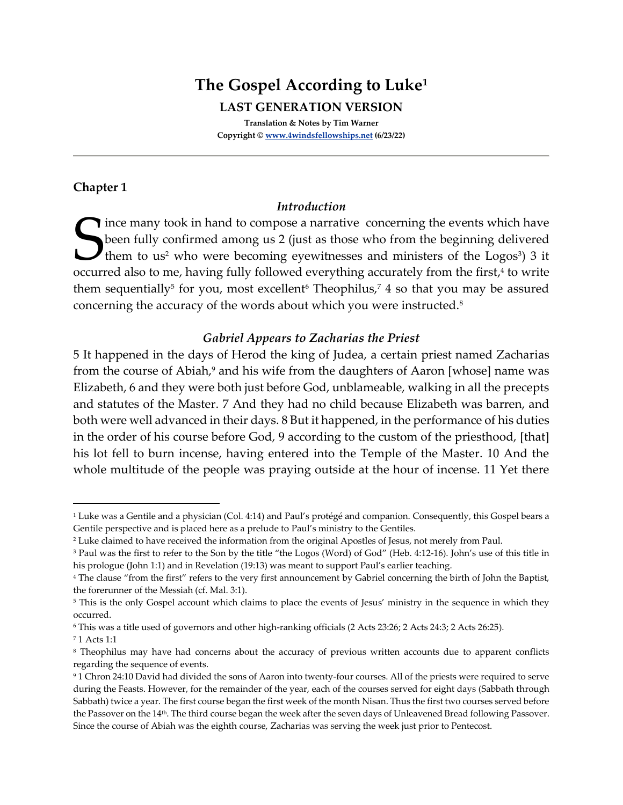# **The Gospel According to Luke<sup>1</sup>**

**LAST GENERATION VERSION**

**Translation & Notes by Tim Warner Copyright © [www.4windsfellowships.net](http://www.4windsfellowships.net/) (6/23/22)**

# **Chapter 1**

## *Introduction*

ince many took in hand to compose a narrative concerning the events which have been fully confirmed among us 2 (just as those who from the beginning delivered them to us<sup>2</sup> who were becoming eyewitnesses and ministers of the Logos<sup>3</sup>) 3 it occurred also to me, having fully followed everything accurately from the first, 4 to write them sequentially<sup>5</sup> for you, most excellent<sup>6</sup> Theophilus,<sup>7</sup> 4 so that you may be assured concerning the accuracy of the words about which you were instructed.<sup>8</sup> S<sub>occur</sub>

## *Gabriel Appears to Zacharias the Priest*

5 It happened in the days of Herod the king of Judea, a certain priest named Zacharias from the course of Abiah,<sup>9</sup> and his wife from the daughters of Aaron [whose] name was Elizabeth, 6 and they were both just before God, unblameable, walking in all the precepts and statutes of the Master. 7 And they had no child because Elizabeth was barren, and both were well advanced in their days. 8 But it happened, in the performance of his duties in the order of his course before God, 9 according to the custom of the priesthood, [that] his lot fell to burn incense, having entered into the Temple of the Master. 10 And the whole multitude of the people was praying outside at the hour of incense. 11 Yet there

<sup>&</sup>lt;sup>1</sup> Luke was a Gentile and a physician (Col. 4:14) and Paul's protégé and companion. Consequently, this Gospel bears a Gentile perspective and is placed here as a prelude to Paul's ministry to the Gentiles.

<sup>&</sup>lt;sup>2</sup> Luke claimed to have received the information from the original Apostles of Jesus, not merely from Paul.

<sup>&</sup>lt;sup>3</sup> Paul was the first to refer to the Son by the title "the Logos (Word) of God" (Heb. 4:12-16). John's use of this title in his prologue (John 1:1) and in Revelation (19:13) was meant to support Paul's earlier teaching.

<sup>4</sup> The clause "from the first" refers to the very first announcement by Gabriel concerning the birth of John the Baptist, the forerunner of the Messiah (cf. Mal. 3:1).

<sup>&</sup>lt;sup>5</sup> This is the only Gospel account which claims to place the events of Jesus' ministry in the sequence in which they occurred.

<sup>6</sup> This was a title used of governors and other high-ranking officials (2 Acts 23:26; 2 Acts 24:3; 2 Acts 26:25).

<sup>7</sup> 1 Acts 1:1

<sup>8</sup> Theophilus may have had concerns about the accuracy of previous written accounts due to apparent conflicts regarding the sequence of events.

<sup>9</sup> 1 Chron 24:10 David had divided the sons of Aaron into twenty-four courses. All of the priests were required to serve during the Feasts. However, for the remainder of the year, each of the courses served for eight days (Sabbath through Sabbath) twice a year. The first course began the first week of the month Nisan. Thus the first two courses served before the Passover on the 14th. The third course began the week after the seven days of Unleavened Bread following Passover. Since the course of Abiah was the eighth course, Zacharias was serving the week just prior to Pentecost.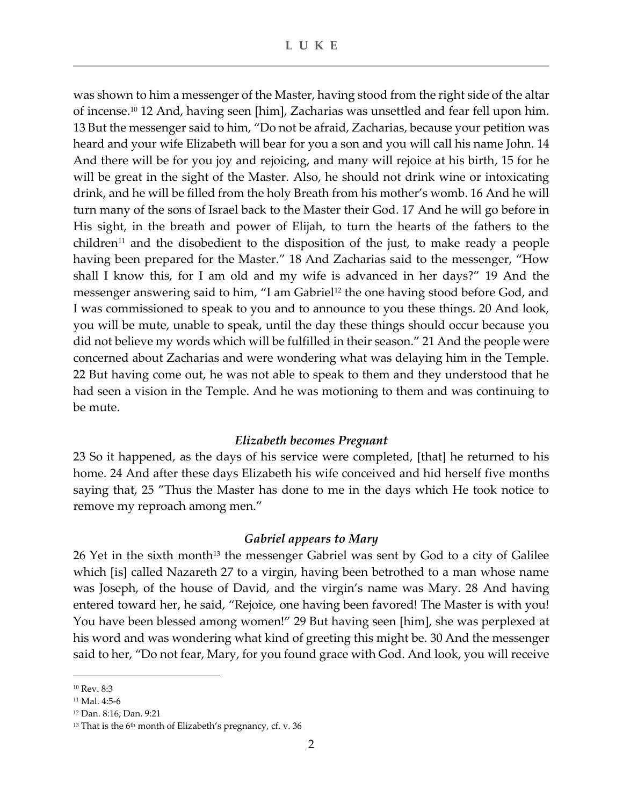was shown to him a messenger of the Master, having stood from the right side of the altar of incense.<sup>10</sup> 12 And, having seen [him], Zacharias was unsettled and fear fell upon him. 13 But the messenger said to him, "Do not be afraid, Zacharias, because your petition was heard and your wife Elizabeth will bear for you a son and you will call his name John. 14 And there will be for you joy and rejoicing, and many will rejoice at his birth, 15 for he will be great in the sight of the Master. Also, he should not drink wine or intoxicating drink, and he will be filled from the holy Breath from his mother's womb. 16 And he will turn many of the sons of Israel back to the Master their God. 17 And he will go before in His sight, in the breath and power of Elijah, to turn the hearts of the fathers to the children<sup>11</sup> and the disobedient to the disposition of the just, to make ready a people having been prepared for the Master." 18 And Zacharias said to the messenger, "How shall I know this, for I am old and my wife is advanced in her days?" 19 And the messenger answering said to him, "I am Gabriel<sup>12</sup> the one having stood before God, and I was commissioned to speak to you and to announce to you these things. 20 And look, you will be mute, unable to speak, until the day these things should occur because you did not believe my words which will be fulfilled in their season." 21 And the people were concerned about Zacharias and were wondering what was delaying him in the Temple. 22 But having come out, he was not able to speak to them and they understood that he had seen a vision in the Temple. And he was motioning to them and was continuing to be mute.

#### *Elizabeth becomes Pregnant*

23 So it happened, as the days of his service were completed, [that] he returned to his home. 24 And after these days Elizabeth his wife conceived and hid herself five months saying that, 25 "Thus the Master has done to me in the days which He took notice to remove my reproach among men."

#### *Gabriel appears to Mary*

26 Yet in the sixth month<sup>13</sup> the messenger Gabriel was sent by God to a city of Galilee which [is] called Nazareth 27 to a virgin, having been betrothed to a man whose name was Joseph, of the house of David, and the virgin's name was Mary. 28 And having entered toward her, he said, "Rejoice, one having been favored! The Master is with you! You have been blessed among women!" 29 But having seen [him], she was perplexed at his word and was wondering what kind of greeting this might be. 30 And the messenger said to her, "Do not fear, Mary, for you found grace with God. And look, you will receive

<sup>10</sup> Rev. 8:3

<sup>11</sup> Mal. 4:5-6

<sup>12</sup> Dan. 8:16; Dan. 9:21

 $13$  That is the 6<sup>th</sup> month of Elizabeth's pregnancy, cf. v. 36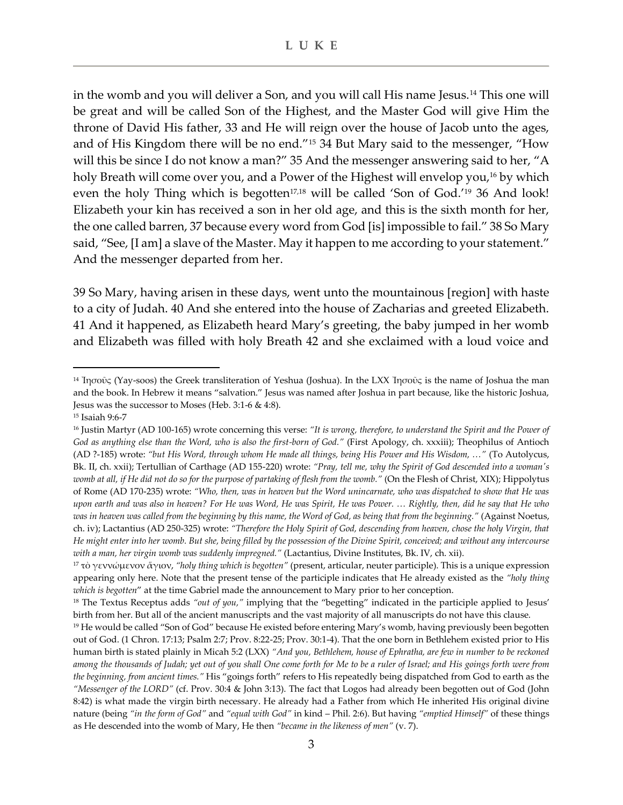in the womb and you will deliver a Son, and you will call His name Jesus.<sup>14</sup> This one will be great and will be called Son of the Highest, and the Master God will give Him the throne of David His father, 33 and He will reign over the house of Jacob unto the ages, and of His Kingdom there will be no end."<sup>15</sup> 34 But Mary said to the messenger, "How will this be since I do not know a man?" 35 And the messenger answering said to her, "A holy Breath will come over you, and a Power of the Highest will envelop you,<sup>16</sup> by which even the holy Thing which is begotten<sup>17,18</sup> will be called 'Son of God.'<sup>19</sup> 36 And look! Elizabeth your kin has received a son in her old age, and this is the sixth month for her, the one called barren, 37 because every word from God [is] impossible to fail." 38 So Mary said, "See, [I am] a slave of the Master. May it happen to me according to your statement." And the messenger departed from her.

39 So Mary, having arisen in these days, went unto the mountainous [region] with haste to a city of Judah. 40 And she entered into the house of Zacharias and greeted Elizabeth. 41 And it happened, as Elizabeth heard Mary's greeting, the baby jumped in her womb and Elizabeth was filled with holy Breath 42 and she exclaimed with a loud voice and

<sup>14</sup> Ἰησοῦς (Yay-soos) the Greek transliteration of Yeshua (Joshua). In the LXX Ἰησοῦς is the name of Joshua the man and the book. In Hebrew it means "salvation." Jesus was named after Joshua in part because, like the historic Joshua, Jesus was the successor to Moses (Heb. 3:1-6 & 4:8).

<sup>15</sup> Isaiah 9:6-7

<sup>16</sup> Justin Martyr (AD 100-165) wrote concerning this verse: *"It is wrong, therefore, to understand the Spirit and the Power of God as anything else than the Word, who is also the first-born of God."* (First Apology, ch. xxxiii); Theophilus of Antioch (AD ?-185) wrote: *"but His Word, through whom He made all things, being His Power and His Wisdom, …"* (To Autolycus, Bk. II, ch. xxii); Tertullian of Carthage (AD 155-220) wrote: "Pray, tell me, why the Spirit of God descended into a woman's *womb at all, if He did not do so for the purpose of partaking of flesh from the womb."* (On the Flesh of Christ, XIX); Hippolytus of Rome (AD 170-235) wrote: *"Who, then, was in heaven but the Word unincarnate, who was dispatched to show that He was upon earth and was also in heaven? For He was Word, He was Spirit, He was Power. … Rightly, then, did he say that He who was in heaven was called from the beginning by this name, the Word of God, as being that from the beginning."* (Against Noetus, ch. iv); Lactantius (AD 250-325) wrote: *"Therefore the Holy Spirit of God, descending from heaven, chose the holy Virgin, that He might enter into her womb. But she, being filled by the possession of the Divine Spirit, conceived; and without any intercourse with a man, her virgin womb was suddenly impregned."* (Lactantius, Divine Institutes, Bk. IV, ch. xii).

<sup>17</sup> τὸ γεννώμενον ἅγιον, *"holy thing which is begotten"* (present, articular, neuter participle). This is a unique expression appearing only here. Note that the present tense of the participle indicates that He already existed as the *"holy thing which is begotten*" at the time Gabriel made the announcement to Mary prior to her conception.

<sup>&</sup>lt;sup>18</sup> The Textus Receptus adds "out of you," implying that the "begetting" indicated in the participle applied to Jesus' birth from her. But all of the ancient manuscripts and the vast majority of all manuscripts do not have this clause.

<sup>&</sup>lt;sup>19</sup> He would be called "Son of God" because He existed before entering Mary's womb, having previously been begotten out of God. (1 Chron. 17:13; Psalm 2:7; Prov. 8:22-25; Prov. 30:1-4). That the one born in Bethlehem existed prior to His human birth is stated plainly in Micah 5:2 (LXX) *"And you, Bethlehem, house of Ephratha, are few in number to be reckoned among the thousands of Judah; yet out of you shall One come forth for Me to be a ruler of Israel; and His goings forth were from the beginning, from ancient times."* His "goings forth" refers to His repeatedly being dispatched from God to earth as the *"Messenger of the LORD"* (cf. Prov. 30:4 & John 3:13). The fact that Logos had already been begotten out of God (John 8:42) is what made the virgin birth necessary. He already had a Father from which He inherited His original divine nature (being *"in the form of God"* and *"equal with God"* in kind – Phil. 2:6). But having *"emptied Himself"* of these things as He descended into the womb of Mary, He then *"became in the likeness of men"* (v. 7).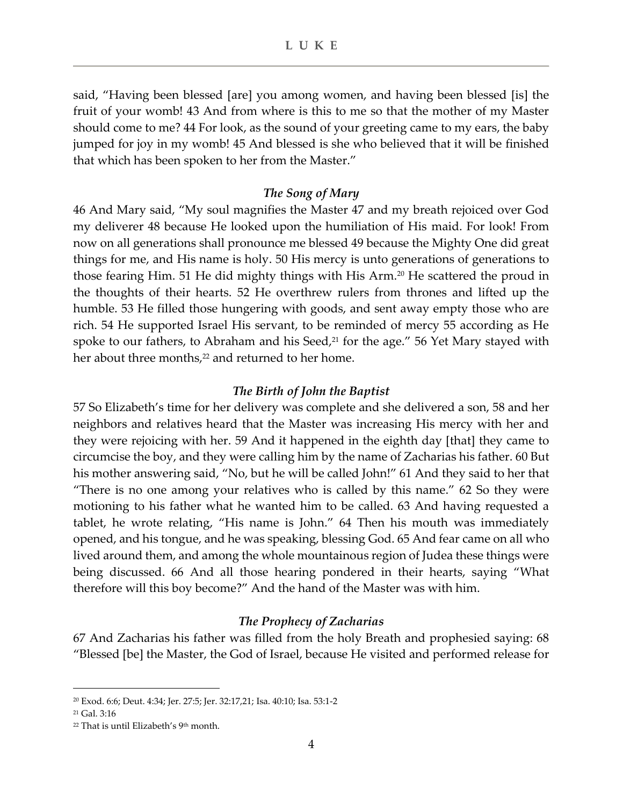said, "Having been blessed [are] you among women, and having been blessed [is] the fruit of your womb! 43 And from where is this to me so that the mother of my Master should come to me? 44 For look, as the sound of your greeting came to my ears, the baby jumped for joy in my womb! 45 And blessed is she who believed that it will be finished that which has been spoken to her from the Master."

#### *The Song of Mary*

46 And Mary said, "My soul magnifies the Master 47 and my breath rejoiced over God my deliverer 48 because He looked upon the humiliation of His maid. For look! From now on all generations shall pronounce me blessed 49 because the Mighty One did great things for me, and His name is holy. 50 His mercy is unto generations of generations to those fearing Him. 51 He did mighty things with His Arm.<sup>20</sup> He scattered the proud in the thoughts of their hearts. 52 He overthrew rulers from thrones and lifted up the humble. 53 He filled those hungering with goods, and sent away empty those who are rich. 54 He supported Israel His servant, to be reminded of mercy 55 according as He spoke to our fathers, to Abraham and his Seed, $21$  for the age." 56 Yet Mary stayed with her about three months,<sup>22</sup> and returned to her home.

#### *The Birth of John the Baptist*

57 So Elizabeth's time for her delivery was complete and she delivered a son, 58 and her neighbors and relatives heard that the Master was increasing His mercy with her and they were rejoicing with her. 59 And it happened in the eighth day [that] they came to circumcise the boy, and they were calling him by the name of Zacharias his father. 60 But his mother answering said, "No, but he will be called John!" 61 And they said to her that "There is no one among your relatives who is called by this name." 62 So they were motioning to his father what he wanted him to be called. 63 And having requested a tablet, he wrote relating, "His name is John." 64 Then his mouth was immediately opened, and his tongue, and he was speaking, blessing God. 65 And fear came on all who lived around them, and among the whole mountainous region of Judea these things were being discussed. 66 And all those hearing pondered in their hearts, saying "What therefore will this boy become?" And the hand of the Master was with him.

#### *The Prophecy of Zacharias*

67 And Zacharias his father was filled from the holy Breath and prophesied saying: 68 "Blessed [be] the Master, the God of Israel, because He visited and performed release for

<sup>20</sup> Exod. 6:6; Deut. 4:34; Jer. 27:5; Jer. 32:17,21; Isa. 40:10; Isa. 53:1-2

 $21$  Gal. 3:16

 $22$  That is until Elizabeth's 9<sup>th</sup> month.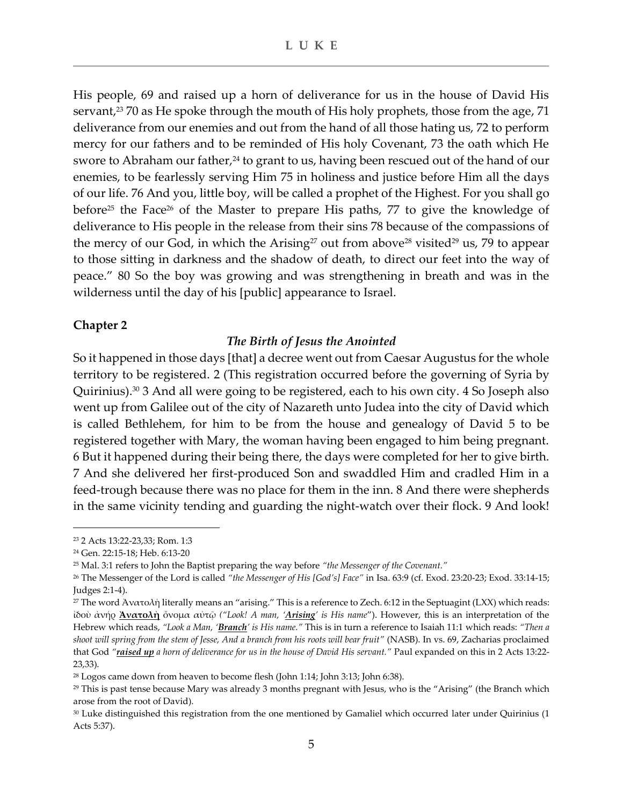His people, 69 and raised up a horn of deliverance for us in the house of David His servant,<sup>23</sup> 70 as He spoke through the mouth of His holy prophets, those from the age, 71 deliverance from our enemies and out from the hand of all those hating us, 72 to perform mercy for our fathers and to be reminded of His holy Covenant, 73 the oath which He swore to Abraham our father,<sup>24</sup> to grant to us, having been rescued out of the hand of our enemies, to be fearlessly serving Him 75 in holiness and justice before Him all the days of our life. 76 And you, little boy, will be called a prophet of the Highest. For you shall go before<sup>25</sup> the Face<sup>26</sup> of the Master to prepare His paths, 77 to give the knowledge of deliverance to His people in the release from their sins 78 because of the compassions of the mercy of our God, in which the Arising<sup>27</sup> out from above<sup>28</sup> visited<sup>29</sup> us, 79 to appear to those sitting in darkness and the shadow of death, to direct our feet into the way of peace." 80 So the boy was growing and was strengthening in breath and was in the wilderness until the day of his [public] appearance to Israel.

## **Chapter 2**

## *The Birth of Jesus the Anointed*

So it happened in those days [that] a decree went out from Caesar Augustus for the whole territory to be registered. 2 (This registration occurred before the governing of Syria by Quirinius).<sup>30</sup> 3 And all were going to be registered, each to his own city. 4 So Joseph also went up from Galilee out of the city of Nazareth unto Judea into the city of David which is called Bethlehem, for him to be from the house and genealogy of David 5 to be registered together with Mary, the woman having been engaged to him being pregnant. 6 But it happened during their being there, the days were completed for her to give birth. 7 And she delivered her first-produced Son and swaddled Him and cradled Him in a feed-trough because there was no place for them in the inn. 8 And there were shepherds in the same vicinity tending and guarding the night-watch over their flock. 9 And look!

<sup>23</sup> 2 Acts 13:22-23,33; Rom. 1:3

<sup>24</sup> Gen. 22:15-18; Heb. 6:13-20

<sup>25</sup> Mal. 3:1 refers to John the Baptist preparing the way before *"the Messenger of the Covenant."*

<sup>26</sup> The Messenger of the Lord is called *"the Messenger of His [God's] Face"* in Isa. 63:9 (cf. Exod. 23:20-23; Exod. 33:14-15; Judges 2:1-4).

<sup>&</sup>lt;sup>27</sup> The word Ἀνατολὴ literally means an "arising." This is a reference to Zech. 6:12 in the Septuagint (LXX) which reads: ἰδοὺ ἀνήρ **Ἀνατολὴ** ὄνομα αὐτῷ *("Look! A man, 'Arising' is His name*"). However, this is an interpretation of the Hebrew which reads, *"Look a Man, 'Branch' is His name."* This is in turn a reference to Isaiah 11:1 which reads: *"Then a shoot will spring from the stem of Jesse, And a branch from his roots will bear fruit"* (NASB). In vs. 69, Zacharias proclaimed that God *"raised up a horn of deliverance for us in the house of David His servant."* Paul expanded on this in 2 Acts 13:22- 23,33).

<sup>&</sup>lt;sup>28</sup> Logos came down from heaven to become flesh (John 1:14; John 3:13; John 6:38).

<sup>&</sup>lt;sup>29</sup> This is past tense because Mary was already 3 months pregnant with Jesus, who is the "Arising" (the Branch which arose from the root of David).

<sup>30</sup> Luke distinguished this registration from the one mentioned by Gamaliel which occurred later under Quirinius (1 Acts 5:37).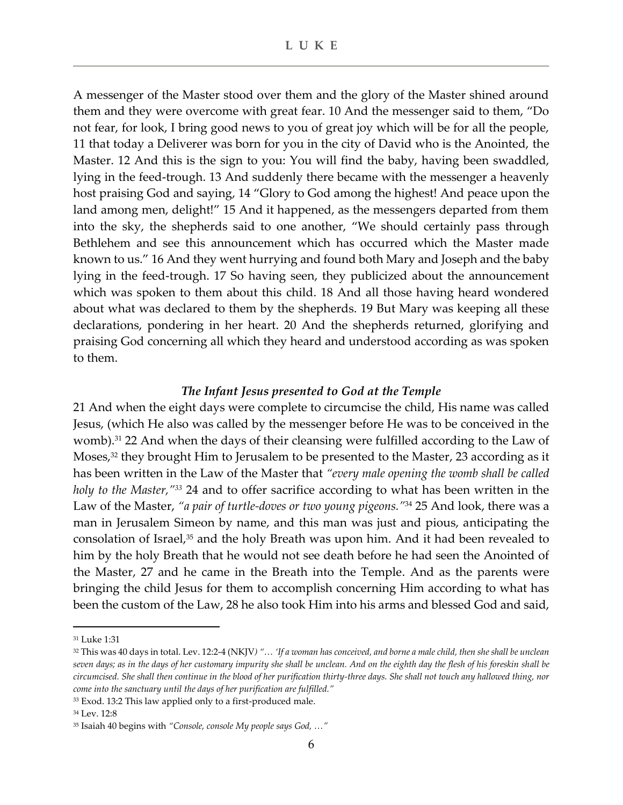A messenger of the Master stood over them and the glory of the Master shined around them and they were overcome with great fear. 10 And the messenger said to them, "Do not fear, for look, I bring good news to you of great joy which will be for all the people, 11 that today a Deliverer was born for you in the city of David who is the Anointed, the Master. 12 And this is the sign to you: You will find the baby, having been swaddled, lying in the feed-trough. 13 And suddenly there became with the messenger a heavenly host praising God and saying, 14 "Glory to God among the highest! And peace upon the land among men, delight!" 15 And it happened, as the messengers departed from them into the sky, the shepherds said to one another, "We should certainly pass through Bethlehem and see this announcement which has occurred which the Master made known to us." 16 And they went hurrying and found both Mary and Joseph and the baby lying in the feed-trough. 17 So having seen, they publicized about the announcement which was spoken to them about this child. 18 And all those having heard wondered about what was declared to them by the shepherds. 19 But Mary was keeping all these declarations, pondering in her heart. 20 And the shepherds returned, glorifying and praising God concerning all which they heard and understood according as was spoken to them.

## *The Infant Jesus presented to God at the Temple*

21 And when the eight days were complete to circumcise the child, His name was called Jesus, (which He also was called by the messenger before He was to be conceived in the womb). <sup>31</sup> 22 And when the days of their cleansing were fulfilled according to the Law of Moses,<sup>32</sup> they brought Him to Jerusalem to be presented to the Master, 23 according as it has been written in the Law of the Master that *"every male opening the womb shall be called holy to the Master," <sup>33</sup>* 24 and to offer sacrifice according to what has been written in the Law of the Master, *"a pair of turtle-doves or two young pigeons."*<sup>34</sup> 25 And look, there was a man in Jerusalem Simeon by name, and this man was just and pious, anticipating the consolation of Israel,<sup>35</sup> and the holy Breath was upon him. And it had been revealed to him by the holy Breath that he would not see death before he had seen the Anointed of the Master, 27 and he came in the Breath into the Temple. And as the parents were bringing the child Jesus for them to accomplish concerning Him according to what has been the custom of the Law, 28 he also took Him into his arms and blessed God and said,

<sup>31</sup> Luke 1:31

<sup>32</sup> This was 40 days in total. Lev. 12:2-4 (NKJV*) "… 'If a woman has conceived, and borne a male child, then she shall be unclean seven days; as in the days of her customary impurity she shall be unclean. And on the eighth day the flesh of his foreskin shall be circumcised. She shall then continue in the blood of her purification thirty-three days. She shall not touch any hallowed thing, nor come into the sanctuary until the days of her purification are fulfilled."*

<sup>&</sup>lt;sup>33</sup> Exod. 13:2 This law applied only to a first-produced male.

<sup>34</sup> Lev. 12:8

<sup>35</sup> Isaiah 40 begins with *"Console, console My people says God, …"*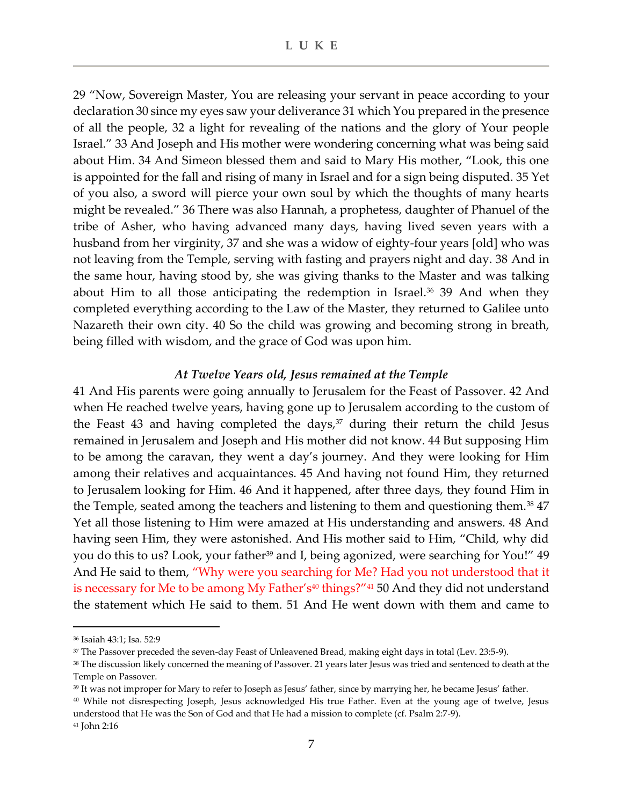29 "Now, Sovereign Master, You are releasing your servant in peace according to your declaration 30 since my eyes saw your deliverance 31 which You prepared in the presence of all the people, 32 a light for revealing of the nations and the glory of Your people Israel." 33 And Joseph and His mother were wondering concerning what was being said about Him. 34 And Simeon blessed them and said to Mary His mother, "Look, this one is appointed for the fall and rising of many in Israel and for a sign being disputed. 35 Yet of you also, a sword will pierce your own soul by which the thoughts of many hearts might be revealed." 36 There was also Hannah, a prophetess, daughter of Phanuel of the tribe of Asher, who having advanced many days, having lived seven years with a husband from her virginity, 37 and she was a widow of eighty-four years [old] who was not leaving from the Temple, serving with fasting and prayers night and day. 38 And in the same hour, having stood by, she was giving thanks to the Master and was talking about Him to all those anticipating the redemption in Israel. $36$  39 And when they completed everything according to the Law of the Master, they returned to Galilee unto Nazareth their own city. 40 So the child was growing and becoming strong in breath, being filled with wisdom, and the grace of God was upon him.

#### *At Twelve Years old, Jesus remained at the Temple*

41 And His parents were going annually to Jerusalem for the Feast of Passover. 42 And when He reached twelve years, having gone up to Jerusalem according to the custom of the Feast 43 and having completed the days, $37$  during their return the child Jesus remained in Jerusalem and Joseph and His mother did not know. 44 But supposing Him to be among the caravan, they went a day's journey. And they were looking for Him among their relatives and acquaintances. 45 And having not found Him, they returned to Jerusalem looking for Him. 46 And it happened, after three days, they found Him in the Temple, seated among the teachers and listening to them and questioning them.<sup>38</sup> 47 Yet all those listening to Him were amazed at His understanding and answers. 48 And having seen Him, they were astonished. And His mother said to Him, "Child, why did you do this to us? Look, your father<sup>39</sup> and I, being agonized, were searching for You!" 49 And He said to them, "Why were you searching for Me? Had you not understood that it is necessary for Me to be among My Father's $40$  things?" $41$  50 And they did not understand the statement which He said to them. 51 And He went down with them and came to

<sup>36</sup> Isaiah 43:1; Isa. 52:9

<sup>37</sup> The Passover preceded the seven-day Feast of Unleavened Bread, making eight days in total (Lev. 23:5-9).

<sup>&</sup>lt;sup>38</sup> The discussion likely concerned the meaning of Passover. 21 years later Jesus was tried and sentenced to death at the Temple on Passover.

<sup>39</sup> It was not improper for Mary to refer to Joseph as Jesus' father, since by marrying her, he became Jesus' father.

<sup>40</sup> While not disrespecting Joseph, Jesus acknowledged His true Father. Even at the young age of twelve, Jesus understood that He was the Son of God and that He had a mission to complete (cf. Psalm 2:7-9).

<sup>41</sup> John 2:16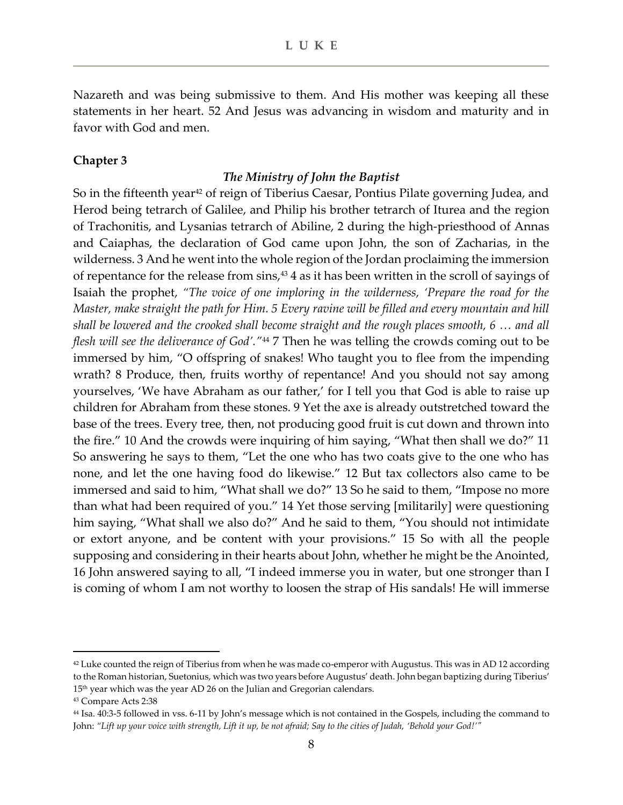Nazareth and was being submissive to them. And His mother was keeping all these statements in her heart. 52 And Jesus was advancing in wisdom and maturity and in favor with God and men.

#### **Chapter 3**

#### *The Ministry of John the Baptist*

So in the fifteenth year<sup>42</sup> of reign of Tiberius Caesar, Pontius Pilate governing Judea, and Herod being tetrarch of Galilee, and Philip his brother tetrarch of Iturea and the region of Trachonitis, and Lysanias tetrarch of Abiline, 2 during the high-priesthood of Annas and Caiaphas, the declaration of God came upon John, the son of Zacharias, in the wilderness. 3 And he went into the whole region of the Jordan proclaiming the immersion of repentance for the release from sins, <sup>43</sup> 4 as it has been written in the scroll of sayings of Isaiah the prophet, *"The voice of one imploring in the wilderness, 'Prepare the road for the Master, make straight the path for Him. 5 Every ravine will be filled and every mountain and hill shall be lowered and the crooked shall become straight and the rough places smooth, 6 … and all flesh will see the deliverance of God'."*<sup>44</sup> 7 Then he was telling the crowds coming out to be immersed by him, "O offspring of snakes! Who taught you to flee from the impending wrath? 8 Produce, then, fruits worthy of repentance! And you should not say among yourselves, 'We have Abraham as our father,' for I tell you that God is able to raise up children for Abraham from these stones. 9 Yet the axe is already outstretched toward the base of the trees. Every tree, then, not producing good fruit is cut down and thrown into the fire." 10 And the crowds were inquiring of him saying, "What then shall we do?" 11 So answering he says to them, "Let the one who has two coats give to the one who has none, and let the one having food do likewise." 12 But tax collectors also came to be immersed and said to him, "What shall we do?" 13 So he said to them, "Impose no more than what had been required of you." 14 Yet those serving [militarily] were questioning him saying, "What shall we also do?" And he said to them, "You should not intimidate or extort anyone, and be content with your provisions." 15 So with all the people supposing and considering in their hearts about John, whether he might be the Anointed, 16 John answered saying to all, "I indeed immerse you in water, but one stronger than I is coming of whom I am not worthy to loosen the strap of His sandals! He will immerse

 $42$  Luke counted the reign of Tiberius from when he was made co-emperor with Augustus. This was in AD 12 according to the Roman historian, Suetonius, which was two years before Augustus' death. John began baptizing during Tiberius' 15<sup>th</sup> year which was the year AD 26 on the Julian and Gregorian calendars.

<sup>43</sup> Compare Acts 2:38

<sup>44</sup> Isa. 40:3-5 followed in vss. 6-11 by John's message which is not contained in the Gospels, including the command to John: *"Lift up your voice with strength, Lift it up, be not afraid; Say to the cities of Judah, 'Behold your God!'"*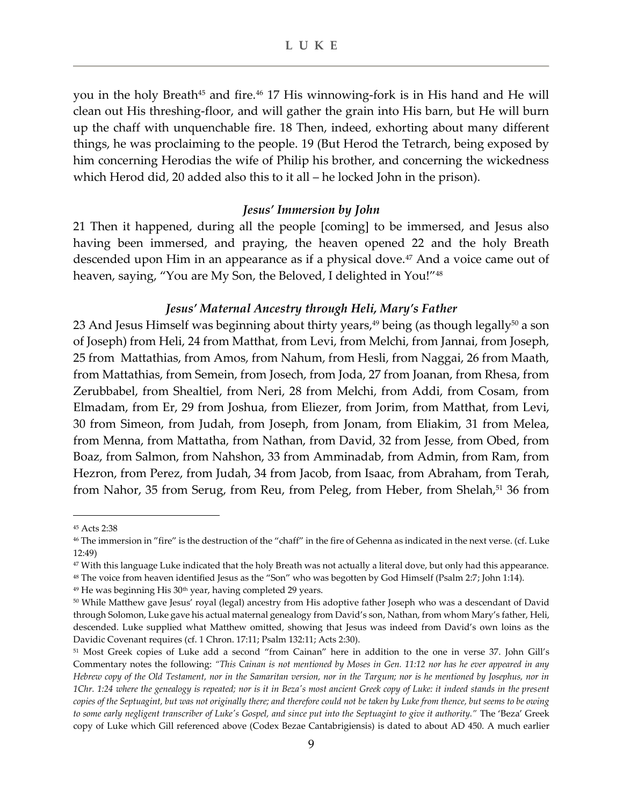you in the holy Breath<sup>45</sup> and fire.<sup>46</sup> 17 His winnowing-fork is in His hand and He will clean out His threshing-floor, and will gather the grain into His barn, but He will burn up the chaff with unquenchable fire. 18 Then, indeed, exhorting about many different things, he was proclaiming to the people. 19 (But Herod the Tetrarch, being exposed by him concerning Herodias the wife of Philip his brother, and concerning the wickedness which Herod did, 20 added also this to it all – he locked John in the prison).

#### *Jesus' Immersion by John*

21 Then it happened, during all the people [coming] to be immersed, and Jesus also having been immersed, and praying, the heaven opened 22 and the holy Breath descended upon Him in an appearance as if a physical dove.<sup>47</sup> And a voice came out of heaven, saying, "You are My Son, the Beloved, I delighted in You!"<sup>48</sup>

#### *Jesus' Maternal Ancestry through Heli, Mary's Father*

23 And Jesus Himself was beginning about thirty years, <sup>49</sup> being (as though legally<sup>50</sup> a son of Joseph) from Heli, 24 from Matthat, from Levi, from Melchi, from Jannai, from Joseph, 25 from Mattathias, from Amos, from Nahum, from Hesli, from Naggai, 26 from Maath, from Mattathias, from Semein, from Josech, from Joda, 27 from Joanan, from Rhesa, from Zerubbabel, from Shealtiel, from Neri, 28 from Melchi, from Addi, from Cosam, from Elmadam, from Er, 29 from Joshua, from Eliezer, from Jorim, from Matthat, from Levi, 30 from Simeon, from Judah, from Joseph, from Jonam, from Eliakim, 31 from Melea, from Menna, from Mattatha, from Nathan, from David, 32 from Jesse, from Obed, from Boaz, from Salmon, from Nahshon, 33 from Amminadab, from Admin, from Ram, from Hezron, from Perez, from Judah, 34 from Jacob, from Isaac, from Abraham, from Terah, from Nahor, 35 from Serug, from Reu, from Peleg, from Heber, from Shelah,<sup>51</sup> 36 from

<sup>45</sup> Acts 2:38

<sup>46</sup> The immersion in "fire" is the destruction of the "chaff" in the fire of Gehenna as indicated in the next verse. (cf. Luke 12:49)

<sup>47</sup> With this language Luke indicated that the holy Breath was not actually a literal dove, but only had this appearance. <sup>48</sup> The voice from heaven identified Jesus as the "Son" who was begotten by God Himself (Psalm 2:7; John 1:14).

 $49$  He was beginning His  $30<sup>th</sup>$  year, having completed 29 years.

<sup>50</sup> While Matthew gave Jesus' royal (legal) ancestry from His adoptive father Joseph who was a descendant of David through Solomon, Luke gave his actual maternal genealogy from David's son, Nathan, from whom Mary's father, Heli, descended. Luke supplied what Matthew omitted, showing that Jesus was indeed from David's own loins as the Davidic Covenant requires (cf. 1 Chron. 17:11; Psalm 132:11; Acts 2:30).

<sup>51</sup> Most Greek copies of Luke add a second "from Cainan" here in addition to the one in verse 37. John Gill's Commentary notes the following: *"This Cainan is not mentioned by Moses in Gen. 11:12 nor has he ever appeared in any Hebrew copy of the Old Testament, nor in the Samaritan version, nor in the Targum; nor is he mentioned by Josephus, nor in 1Chr. 1:24 where the genealogy is repeated; nor is it in Beza's most ancient Greek copy of Luke: it indeed stands in the present copies of the Septuagint, but was not originally there; and therefore could not be taken by Luke from thence, but seems to be owing to some early negligent transcriber of Luke's Gospel, and since put into the Septuagint to give it authority."* The 'Beza' Greek copy of Luke which Gill referenced above (Codex Bezae Cantabrigiensis) is dated to about AD 450. A much earlier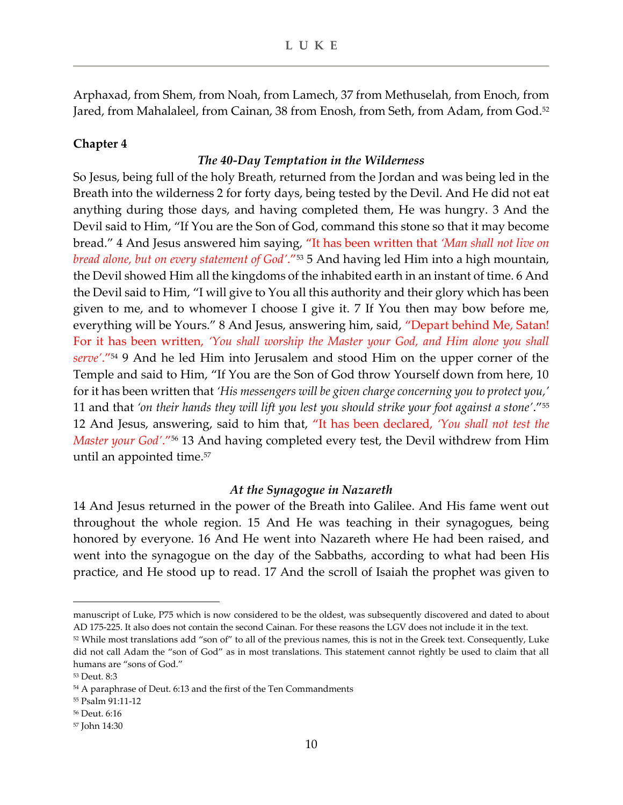Arphaxad, from Shem, from Noah, from Lamech, 37 from Methuselah, from Enoch, from Jared, from Mahalaleel, from Cainan, 38 from Enosh, from Seth, from Adam, from God.<sup>52</sup>

## **Chapter 4**

## *The 40-Day Temptation in the Wilderness*

So Jesus, being full of the holy Breath, returned from the Jordan and was being led in the Breath into the wilderness 2 for forty days, being tested by the Devil. And He did not eat anything during those days, and having completed them, He was hungry. 3 And the Devil said to Him, "If You are the Son of God, command this stone so that it may become bread." 4 And Jesus answered him saying, "It has been written that *'Man shall not live on bread alone, but on every statement of God'*."<sup>53</sup> 5 And having led Him into a high mountain, the Devil showed Him all the kingdoms of the inhabited earth in an instant of time. 6 And the Devil said to Him, "I will give to You all this authority and their glory which has been given to me, and to whomever I choose I give it. 7 If You then may bow before me, everything will be Yours." 8 And Jesus, answering him, said, "Depart behind Me, Satan! For it has been written, *'You shall worship the Master your God, and Him alone you shall serve'*."<sup>54</sup> 9 And he led Him into Jerusalem and stood Him on the upper corner of the Temple and said to Him, "If You are the Son of God throw Yourself down from here, 10 for it has been written that *'His messengers will be given charge concerning you to protect you,'* 11 and that *'on their hands they will lift you lest you should strike your foot against a stone'*."<sup>55</sup> 12 And Jesus, answering, said to him that, "It has been declared, *'You shall not test the Master your God'*."<sup>56</sup> 13 And having completed every test, the Devil withdrew from Him until an appointed time.<sup>57</sup>

## *At the Synagogue in Nazareth*

14 And Jesus returned in the power of the Breath into Galilee. And His fame went out throughout the whole region. 15 And He was teaching in their synagogues, being honored by everyone. 16 And He went into Nazareth where He had been raised, and went into the synagogue on the day of the Sabbaths, according to what had been His practice, and He stood up to read. 17 And the scroll of Isaiah the prophet was given to

manuscript of Luke, P75 which is now considered to be the oldest, was subsequently discovered and dated to about AD 175-225. It also does not contain the second Cainan. For these reasons the LGV does not include it in the text.

 $52$  While most translations add "son of" to all of the previous names, this is not in the Greek text. Consequently, Luke did not call Adam the "son of God" as in most translations. This statement cannot rightly be used to claim that all humans are "sons of God."

<sup>53</sup> Deut. 8:3

<sup>54</sup> A paraphrase of Deut. 6:13 and the first of the Ten Commandments

<sup>55</sup> Psalm 91:11-12

<sup>56</sup> Deut. 6:16

<sup>57</sup> John 14:30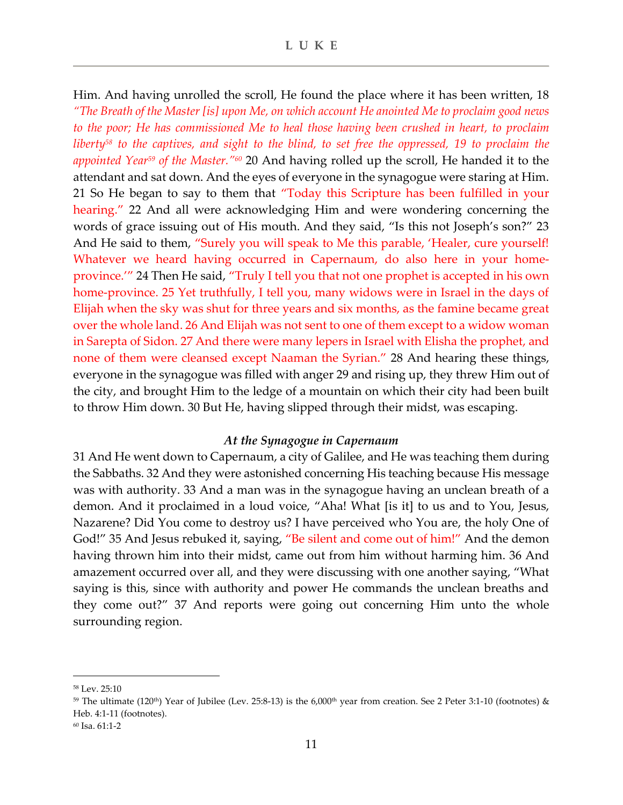Him. And having unrolled the scroll, He found the place where it has been written, 18 *"The Breath of the Master [is] upon Me, on which account He anointed Me to proclaim good news to the poor; He has commissioned Me to heal those having been crushed in heart, to proclaim liberty<sup>58</sup> to the captives, and sight to the blind, to set free the oppressed, 19 to proclaim the appointed Year<sup>59</sup> of the Master."<sup>60</sup>* 20 And having rolled up the scroll, He handed it to the attendant and sat down. And the eyes of everyone in the synagogue were staring at Him. 21 So He began to say to them that "Today this Scripture has been fulfilled in your hearing." 22 And all were acknowledging Him and were wondering concerning the words of grace issuing out of His mouth. And they said, "Is this not Joseph's son?" 23 And He said to them, "Surely you will speak to Me this parable, 'Healer, cure yourself! Whatever we heard having occurred in Capernaum, do also here in your homeprovince.'" 24 Then He said, "Truly I tell you that not one prophet is accepted in his own home-province. 25 Yet truthfully, I tell you, many widows were in Israel in the days of Elijah when the sky was shut for three years and six months, as the famine became great over the whole land. 26 And Elijah was not sent to one of them except to a widow woman in Sarepta of Sidon. 27 And there were many lepers in Israel with Elisha the prophet, and none of them were cleansed except Naaman the Syrian." 28 And hearing these things, everyone in the synagogue was filled with anger 29 and rising up, they threw Him out of the city, and brought Him to the ledge of a mountain on which their city had been built to throw Him down. 30 But He, having slipped through their midst, was escaping.

#### *At the Synagogue in Capernaum*

31 And He went down to Capernaum, a city of Galilee, and He was teaching them during the Sabbaths. 32 And they were astonished concerning His teaching because His message was with authority. 33 And a man was in the synagogue having an unclean breath of a demon. And it proclaimed in a loud voice, "Aha! What [is it] to us and to You, Jesus, Nazarene? Did You come to destroy us? I have perceived who You are, the holy One of God!" 35 And Jesus rebuked it, saying, "Be silent and come out of him!" And the demon having thrown him into their midst, came out from him without harming him. 36 And amazement occurred over all, and they were discussing with one another saying, "What saying is this, since with authority and power He commands the unclean breaths and they come out?" 37 And reports were going out concerning Him unto the whole surrounding region.

<sup>58</sup> Lev. 25:10

 $59$  The ultimate (120<sup>th</sup>) Year of Jubilee (Lev. 25:8-13) is the 6,000<sup>th</sup> year from creation. See 2 Peter 3:1-10 (footnotes) & Heb. 4:1-11 (footnotes).

<sup>60</sup> Isa. 61:1-2